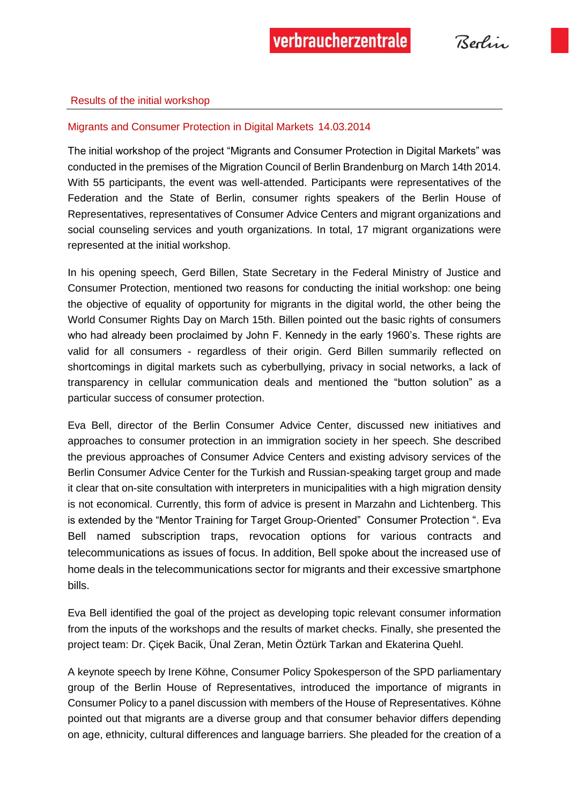#### Results of the initial workshop

#### Migrants and Consumer Protection in Digital Markets 14.03.2014

The initial workshop of the project "Migrants and Consumer Protection in Digital Markets" was conducted in the premises of the Migration Council of Berlin Brandenburg on March 14th 2014. With 55 participants, the event was well-attended. Participants were representatives of the Federation and the State of Berlin, consumer rights speakers of the Berlin House of Representatives, representatives of Consumer Advice Centers and migrant organizations and social counseling services and youth organizations. In total, 17 migrant organizations were represented at the initial workshop.

In his opening speech, Gerd Billen, State Secretary in the Federal Ministry of Justice and Consumer Protection, mentioned two reasons for conducting the initial workshop: one being the objective of equality of opportunity for migrants in the digital world, the other being the World Consumer Rights Day on March 15th. Billen pointed out the basic rights of consumers who had already been proclaimed by John F. Kennedy in the early 1960's. These rights are valid for all consumers - regardless of their origin. Gerd Billen summarily reflected on shortcomings in digital markets such as cyberbullying, privacy in social networks, a lack of transparency in cellular communication deals and mentioned the "button solution" as a particular success of consumer protection.

Eva Bell, director of the Berlin Consumer Advice Center, discussed new initiatives and approaches to consumer protection in an immigration society in her speech. She described the previous approaches of Consumer Advice Centers and existing advisory services of the Berlin Consumer Advice Center for the Turkish and Russian-speaking target group and made it clear that on-site consultation with interpreters in municipalities with a high migration density is not economical. Currently, this form of advice is present in Marzahn and Lichtenberg. This is extended by the "Mentor Training for Target Group-Oriented" Consumer Protection ". Eva Bell named subscription traps, revocation options for various contracts and telecommunications as issues of focus. In addition, Bell spoke about the increased use of home deals in the telecommunications sector for migrants and their excessive smartphone bills.

Eva Bell identified the goal of the project as developing topic relevant consumer information from the inputs of the workshops and the results of market checks. Finally, she presented the project team: Dr. Çiçek Bacik, Ünal Zeran, Metin Öztürk Tarkan and Ekaterina Quehl.

A keynote speech by Irene Köhne, Consumer Policy Spokesperson of the SPD parliamentary group of the Berlin House of Representatives, introduced the importance of migrants in Consumer Policy to a panel discussion with members of the House of Representatives. Köhne pointed out that migrants are a diverse group and that consumer behavior differs depending on age, ethnicity, cultural differences and language barriers. She pleaded for the creation of a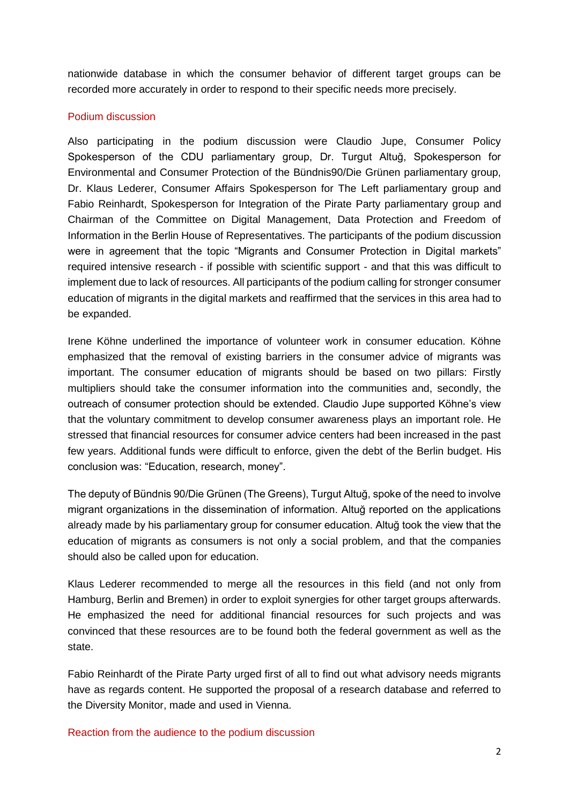nationwide database in which the consumer behavior of different target groups can be recorded more accurately in order to respond to their specific needs more precisely.

## Podium discussion

Also participating in the podium discussion were Claudio Jupe, Consumer Policy Spokesperson of the CDU parliamentary group, Dr. Turgut Altuğ, Spokesperson for Environmental and Consumer Protection of the Bündnis90/Die Grünen parliamentary group, Dr. Klaus Lederer, Consumer Affairs Spokesperson for The Left parliamentary group and Fabio Reinhardt, Spokesperson for Integration of the Pirate Party parliamentary group and Chairman of the Committee on Digital Management, Data Protection and Freedom of Information in the Berlin House of Representatives. The participants of the podium discussion were in agreement that the topic "Migrants and Consumer Protection in Digital markets" required intensive research - if possible with scientific support - and that this was difficult to implement due to lack of resources. All participants of the podium calling for stronger consumer education of migrants in the digital markets and reaffirmed that the services in this area had to be expanded.

Irene Köhne underlined the importance of volunteer work in consumer education. Köhne emphasized that the removal of existing barriers in the consumer advice of migrants was important. The consumer education of migrants should be based on two pillars: Firstly multipliers should take the consumer information into the communities and, secondly, the outreach of consumer protection should be extended. Claudio Jupe supported Köhne's view that the voluntary commitment to develop consumer awareness plays an important role. He stressed that financial resources for consumer advice centers had been increased in the past few years. Additional funds were difficult to enforce, given the debt of the Berlin budget. His conclusion was: "Education, research, money".

The deputy of Bündnis 90/Die Grünen (The Greens), Turgut Altuğ, spoke of the need to involve migrant organizations in the dissemination of information. Altuğ reported on the applications already made by his parliamentary group for consumer education. Altuğ took the view that the education of migrants as consumers is not only a social problem, and that the companies should also be called upon for education.

Klaus Lederer recommended to merge all the resources in this field (and not only from Hamburg, Berlin and Bremen) in order to exploit synergies for other target groups afterwards. He emphasized the need for additional financial resources for such projects and was convinced that these resources are to be found both the federal government as well as the state.

Fabio Reinhardt of the Pirate Party urged first of all to find out what advisory needs migrants have as regards content. He supported the proposal of a research database and referred to the Diversity Monitor, made and used in Vienna.

Reaction from the audience to the podium discussion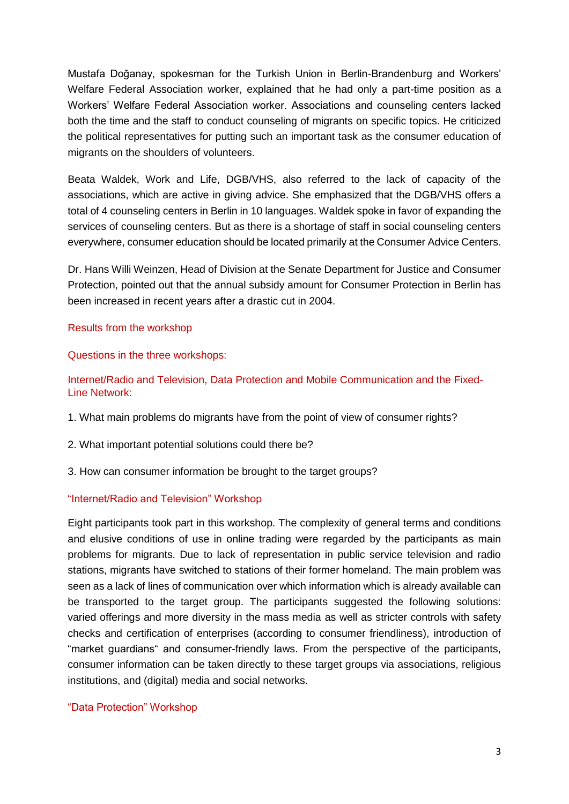Mustafa Doğanay, spokesman for the Turkish Union in Berlin-Brandenburg and Workers' Welfare Federal Association worker, explained that he had only a part-time position as a Workers' Welfare Federal Association worker. Associations and counseling centers lacked both the time and the staff to conduct counseling of migrants on specific topics. He criticized the political representatives for putting such an important task as the consumer education of migrants on the shoulders of volunteers.

Beata Waldek, Work and Life, DGB/VHS, also referred to the lack of capacity of the associations, which are active in giving advice. She emphasized that the DGB/VHS offers a total of 4 counseling centers in Berlin in 10 languages. Waldek spoke in favor of expanding the services of counseling centers. But as there is a shortage of staff in social counseling centers everywhere, consumer education should be located primarily at the Consumer Advice Centers.

Dr. Hans Willi Weinzen, Head of Division at the Senate Department for Justice and Consumer Protection, pointed out that the annual subsidy amount for Consumer Protection in Berlin has been increased in recent years after a drastic cut in 2004.

## Results from the workshop

Questions in the three workshops:

Internet/Radio and Television, Data Protection and Mobile Communication and the Fixed-Line Network:

- 1. What main problems do migrants have from the point of view of consumer rights?
- 2. What important potential solutions could there be?
- 3. How can consumer information be brought to the target groups?

# "Internet/Radio and Television" Workshop

Eight participants took part in this workshop. The complexity of general terms and conditions and elusive conditions of use in online trading were regarded by the participants as main problems for migrants. Due to lack of representation in public service television and radio stations, migrants have switched to stations of their former homeland. The main problem was seen as a lack of lines of communication over which information which is already available can be transported to the target group. The participants suggested the following solutions: varied offerings and more diversity in the mass media as well as stricter controls with safety checks and certification of enterprises (according to consumer friendliness), introduction of "market guardians" and consumer-friendly laws. From the perspective of the participants, consumer information can be taken directly to these target groups via associations, religious institutions, and (digital) media and social networks.

#### "Data Protection" Workshop